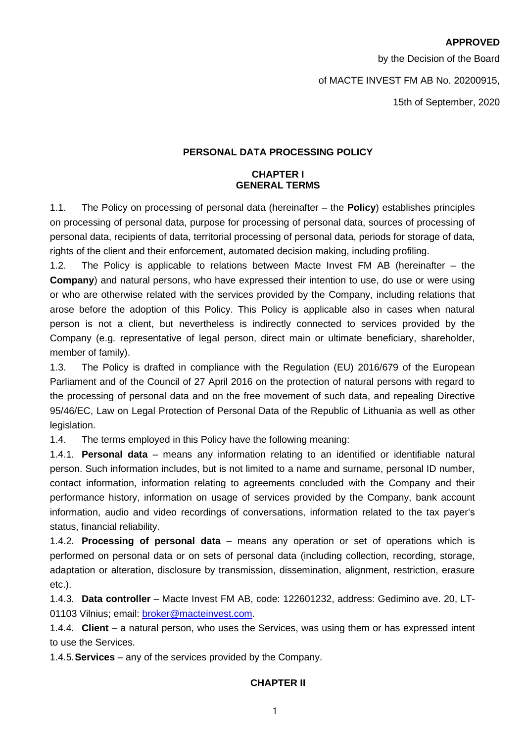#### **APPROVED**

by the Decision of the Board

#### of MACTE INVEST FM AB No. 20200915,

15th of September, 2020

#### **PERSONAL DATA PROCESSING POLICY**

#### **CHAPTER I GENERAL TERMS**

1.1. The Policy on processing of personal data (hereinafter – the **Policy**) establishes principles on processing of personal data, purpose for processing of personal data, sources of processing of personal data, recipients of data, territorial processing of personal data, periods for storage of data, rights of the client and their enforcement, automated decision making, including profiling.

1.2. The Policy is applicable to relations between Macte Invest FM AB (hereinafter – the **Company**) and natural persons, who have expressed their intention to use, do use or were using or who are otherwise related with the services provided by the Company, including relations that arose before the adoption of this Policy. This Policy is applicable also in cases when natural person is not a client, but nevertheless is indirectly connected to services provided by the Company (e.g. representative of legal person, direct main or ultimate beneficiary, shareholder, member of family).

1.3. The Policy is drafted in compliance with the Regulation (EU) 2016/679 of the European Parliament and of the Council of 27 April 2016 on the protection of natural persons with regard to the processing of personal data and on the free movement of such data, and repealing Directive 95/46/EC, Law on Legal Protection of Personal Data of the Republic of Lithuania as well as other legislation.

1.4. The terms employed in this Policy have the following meaning:

1.4.1. **Personal data** – means any information relating to an identified or identifiable natural person. Such information includes, but is not limited to a name and surname, personal ID number, contact information, information relating to agreements concluded with the Company and their performance history, information on usage of services provided by the Company, bank account information, audio and video recordings of conversations, information related to the tax payer's status, financial reliability.

1.4.2. **Processing of personal data** – means any operation or set of operations which is performed on personal data or on sets of personal data (including collection, recording, storage, adaptation or alteration, disclosure by transmission, dissemination, alignment, restriction, erasure etc.).

1.4.3. **Data controller** – Macte Invest FM AB, code: 122601232, address: Gedimino ave. 20, LT-01103 Vilnius; email: [broker@macteinvest.com.](mailto:broker@macteinvest.com)

1.4.4. **Client** – a natural person, who uses the Services, was using them or has expressed intent to use the Services.

1.4.5.**Services** – any of the services provided by the Company.

### **CHAPTER II**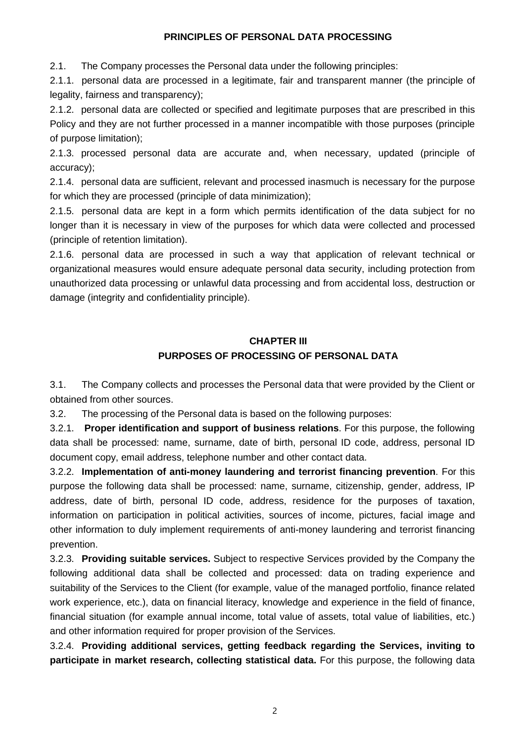### **PRINCIPLES OF PERSONAL DATA PROCESSING**

2.1. The Company processes the Personal data under the following principles:

2.1.1. personal data are processed in a legitimate, fair and transparent manner (the principle of legality, fairness and transparency);

2.1.2. personal data are collected or specified and legitimate purposes that are prescribed in this Policy and they are not further processed in a manner incompatible with those purposes (principle of purpose limitation);

2.1.3. processed personal data are accurate and, when necessary, updated (principle of accuracy);

2.1.4. personal data are sufficient, relevant and processed inasmuch is necessary for the purpose for which they are processed (principle of data minimization);

2.1.5. personal data are kept in a form which permits identification of the data subject for no longer than it is necessary in view of the purposes for which data were collected and processed (principle of retention limitation).

2.1.6. personal data are processed in such a way that application of relevant technical or organizational measures would ensure adequate personal data security, including protection from unauthorized data processing or unlawful data processing and from accidental loss, destruction or damage (integrity and confidentiality principle).

# **CHAPTER III**

# **PURPOSES OF PROCESSING OF PERSONAL DATA**

3.1. The Company collects and processes the Personal data that were provided by the Client or obtained from other sources.

3.2. The processing of the Personal data is based on the following purposes:

3.2.1. **Proper identification and support of business relations**. For this purpose, the following data shall be processed: name, surname, date of birth, personal ID code, address, personal ID document copy, email address, telephone number and other contact data.

3.2.2. **Implementation of anti-money laundering and terrorist financing prevention**. For this purpose the following data shall be processed: name, surname, citizenship, gender, address, IP address, date of birth, personal ID code, address, residence for the purposes of taxation, information on participation in political activities, sources of income, pictures, facial image and other information to duly implement requirements of anti-money laundering and terrorist financing prevention.

3.2.3. **Providing suitable services.** Subject to respective Services provided by the Company the following additional data shall be collected and processed: data on trading experience and suitability of the Services to the Client (for example, value of the managed portfolio, finance related work experience, etc.), data on financial literacy, knowledge and experience in the field of finance, financial situation (for example annual income, total value of assets, total value of liabilities, etc.) and other information required for proper provision of the Services.

3.2.4. **Providing additional services, getting feedback regarding the Services, inviting to participate in market research, collecting statistical data.** For this purpose, the following data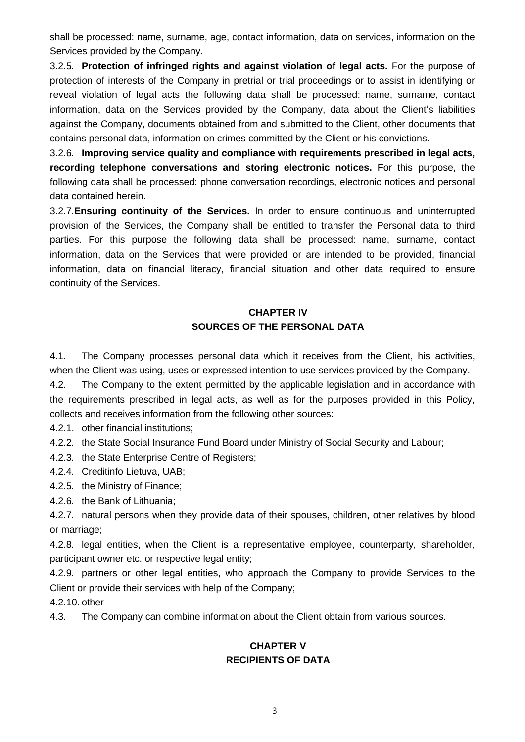shall be processed: name, surname, age, contact information, data on services, information on the Services provided by the Company.

3.2.5. **Protection of infringed rights and against violation of legal acts.** For the purpose of protection of interests of the Company in pretrial or trial proceedings or to assist in identifying or reveal violation of legal acts the following data shall be processed: name, surname, contact information, data on the Services provided by the Company, data about the Client's liabilities against the Company, documents obtained from and submitted to the Client, other documents that contains personal data, information on crimes committed by the Client or his convictions.

3.2.6. **Improving service quality and compliance with requirements prescribed in legal acts, recording telephone conversations and storing electronic notices.** For this purpose, the following data shall be processed: phone conversation recordings, electronic notices and personal data contained herein.

3.2.7.**Ensuring continuity of the Services.** In order to ensure continuous and uninterrupted provision of the Services, the Company shall be entitled to transfer the Personal data to third parties. For this purpose the following data shall be processed: name, surname, contact information, data on the Services that were provided or are intended to be provided, financial information, data on financial literacy, financial situation and other data required to ensure continuity of the Services.

# **CHAPTER IV SOURCES OF THE PERSONAL DATA**

4.1. The Company processes personal data which it receives from the Client, his activities, when the Client was using, uses or expressed intention to use services provided by the Company.

4.2. The Company to the extent permitted by the applicable legislation and in accordance with the requirements prescribed in legal acts, as well as for the purposes provided in this Policy, collects and receives information from the following other sources:

4.2.1. other financial institutions;

4.2.2. the State Social Insurance Fund Board under Ministry of Social Security and Labour;

4.2.3. the State Enterprise Centre of Registers;

4.2.4. Creditinfo Lietuva, UAB;

4.2.5. the Ministry of Finance;

4.2.6. the Bank of Lithuania;

4.2.7. natural persons when they provide data of their spouses, children, other relatives by blood or marriage;

4.2.8. legal entities, when the Client is a representative employee, counterparty, shareholder, participant owner etc. or respective legal entity;

4.2.9. partners or other legal entities, who approach the Company to provide Services to the Client or provide their services with help of the Company;

4.2.10. other

4.3. The Company can combine information about the Client obtain from various sources.

# **CHAPTER V RECIPIENTS OF DATA**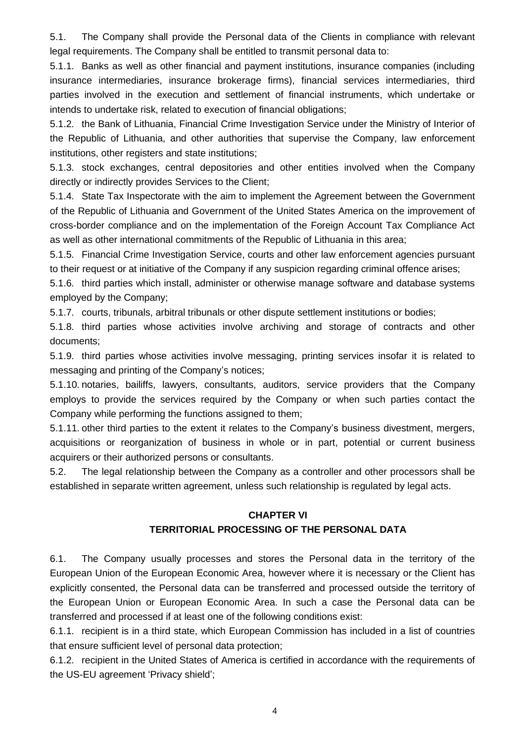5.1. The Company shall provide the Personal data of the Clients in compliance with relevant legal requirements. The Company shall be entitled to transmit personal data to:

5.1.1. Banks as well as other financial and payment institutions, insurance companies (including insurance intermediaries, insurance brokerage firms), financial services intermediaries, third parties involved in the execution and settlement of financial instruments, which undertake or intends to undertake risk, related to execution of financial obligations;

5.1.2. the Bank of Lithuania, Financial Crime Investigation Service under the Ministry of Interior of the Republic of Lithuania, and other authorities that supervise the Company, law enforcement institutions, other registers and state institutions:

5.1.3. stock exchanges, central depositories and other entities involved when the Company directly or indirectly provides Services to the Client;

5.1.4. State Tax Inspectorate with the aim to implement the Agreement between the Government of the Republic of Lithuania and Government of the United States America on the improvement of cross-border compliance and on the implementation of the Foreign Account Tax Compliance Act as well as other international commitments of the Republic of Lithuania in this area;

5.1.5. Financial Crime Investigation Service, courts and other law enforcement agencies pursuant to their request or at initiative of the Company if any suspicion regarding criminal offence arises;

5.1.6. third parties which install, administer or otherwise manage software and database systems employed by the Company;

5.1.7. courts, tribunals, arbitral tribunals or other dispute settlement institutions or bodies;

5.1.8. third parties whose activities involve archiving and storage of contracts and other documents;

5.1.9. third parties whose activities involve messaging, printing services insofar it is related to messaging and printing of the Company's notices;

5.1.10. notaries, bailiffs, lawyers, consultants, auditors, service providers that the Company employs to provide the services required by the Company or when such parties contact the Company while performing the functions assigned to them;

5.1.11. other third parties to the extent it relates to the Company's business divestment, mergers, acquisitions or reorganization of business in whole or in part, potential or current business acquirers or their authorized persons or consultants.

5.2. The legal relationship between the Company as a controller and other processors shall be established in separate written agreement, unless such relationship is regulated by legal acts.

## **CHAPTER VI**

# **TERRITORIAL PROCESSING OF THE PERSONAL DATA**

6.1. The Company usually processes and stores the Personal data in the territory of the European Union of the European Economic Area, however where it is necessary or the Client has explicitly consented, the Personal data can be transferred and processed outside the territory of the European Union or European Economic Area. In such a case the Personal data can be transferred and processed if at least one of the following conditions exist:

6.1.1. recipient is in a third state, which European Commission has included in a list of countries that ensure sufficient level of personal data protection;

6.1.2. recipient in the United States of America is certified in accordance with the requirements of the US-EU agreement 'Privacy shield';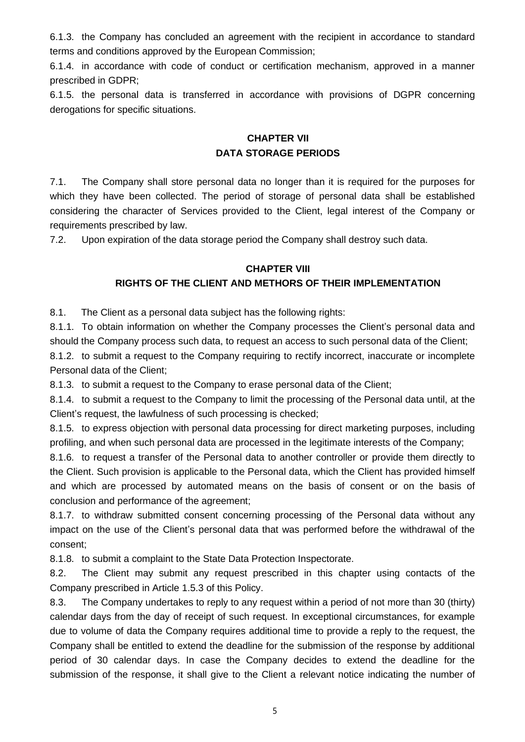6.1.3. the Company has concluded an agreement with the recipient in accordance to standard terms and conditions approved by the European Commission;

6.1.4. in accordance with code of conduct or certification mechanism, approved in a manner prescribed in GDPR;

6.1.5. the personal data is transferred in accordance with provisions of DGPR concerning derogations for specific situations.

## **CHAPTER VII DATA STORAGE PERIODS**

7.1. The Company shall store personal data no longer than it is required for the purposes for which they have been collected. The period of storage of personal data shall be established considering the character of Services provided to the Client, legal interest of the Company or requirements prescribed by law.

7.2. Upon expiration of the data storage period the Company shall destroy such data.

## **CHAPTER VIII**

# **RIGHTS OF THE CLIENT AND METHORS OF THEIR IMPLEMENTATION**

8.1. The Client as a personal data subject has the following rights:

8.1.1. To obtain information on whether the Company processes the Client's personal data and should the Company process such data, to request an access to such personal data of the Client;

8.1.2. to submit a request to the Company requiring to rectify incorrect, inaccurate or incomplete Personal data of the Client;

8.1.3. to submit a request to the Company to erase personal data of the Client;

8.1.4. to submit a request to the Company to limit the processing of the Personal data until, at the Client's request, the lawfulness of such processing is checked;

8.1.5. to express objection with personal data processing for direct marketing purposes, including profiling, and when such personal data are processed in the legitimate interests of the Company;

8.1.6. to request a transfer of the Personal data to another controller or provide them directly to the Client. Such provision is applicable to the Personal data, which the Client has provided himself and which are processed by automated means on the basis of consent or on the basis of conclusion and performance of the agreement;

8.1.7. to withdraw submitted consent concerning processing of the Personal data without any impact on the use of the Client's personal data that was performed before the withdrawal of the consent;

8.1.8. to submit a complaint to the State Data Protection Inspectorate.

8.2. The Client may submit any request prescribed in this chapter using contacts of the Company prescribed in Article 1.5.3 of this Policy.

8.3. The Company undertakes to reply to any request within a period of not more than 30 (thirty) calendar days from the day of receipt of such request. In exceptional circumstances, for example due to volume of data the Company requires additional time to provide a reply to the request, the Company shall be entitled to extend the deadline for the submission of the response by additional period of 30 calendar days. In case the Company decides to extend the deadline for the submission of the response, it shall give to the Client a relevant notice indicating the number of